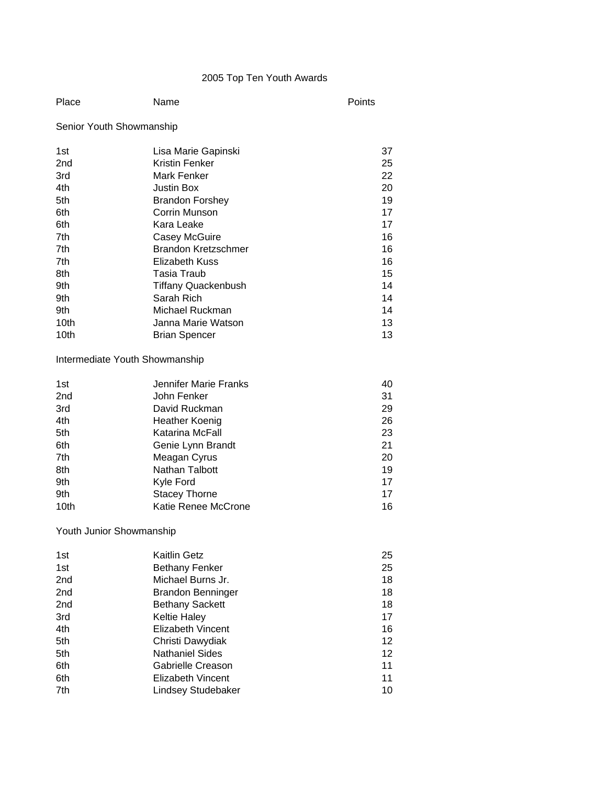# 2005 Top Ten Youth Awards

| Place<br>Name | Points |
|---------------|--------|
|---------------|--------|

# Senior Youth Showmanship

| 1st             | Lisa Marie Gapinski        | 37 |
|-----------------|----------------------------|----|
| 2 <sub>nd</sub> | Kristin Fenker             | 25 |
| 3rd             | Mark Fenker                | 22 |
| 4th             | <b>Justin Box</b>          | 20 |
| 5th             | <b>Brandon Forshey</b>     | 19 |
| 6th             | Corrin Munson              | 17 |
| 6th             | Kara Leake                 | 17 |
| 7th             | Casey McGuire              | 16 |
| 7th             | <b>Brandon Kretzschmer</b> | 16 |
| 7th             | Elizabeth Kuss             | 16 |
| 8th             | Tasia Traub                | 15 |
| 9th             | <b>Tiffany Quackenbush</b> | 14 |
| 9th             | Sarah Rich                 | 14 |
| 9th             | Michael Ruckman            | 14 |
| 10th            | Janna Marie Watson         | 13 |
| 10th            | <b>Brian Spencer</b>       | 13 |

## Intermediate Youth Showmanship

| 1st             | Jennifer Marie Franks | 40 |
|-----------------|-----------------------|----|
| 2 <sub>nd</sub> | John Fenker           | 31 |
| 3rd             | David Ruckman         | 29 |
| 4th             | Heather Koenig        | 26 |
| 5th             | Katarina McFall       | 23 |
| 6th             | Genie Lynn Brandt     | 21 |
| 7th             | Meagan Cyrus          | 20 |
| 8th             | Nathan Talbott        | 19 |
| 9th             | Kyle Ford             | 17 |
| 9th             | <b>Stacey Thorne</b>  | 17 |
| 10th            | Katie Renee McCrone   | 16 |

# Youth Junior Showmanship

| <b>Kaitlin Getz</b>       | 25 |
|---------------------------|----|
| <b>Bethany Fenker</b>     | 25 |
| Michael Burns Jr.         | 18 |
| <b>Brandon Benninger</b>  | 18 |
| <b>Bethany Sackett</b>    | 18 |
| <b>Keltie Haley</b>       | 17 |
| Elizabeth Vincent         | 16 |
| Christi Dawydiak          | 12 |
| <b>Nathaniel Sides</b>    | 12 |
| Gabrielle Creason         | 11 |
| Elizabeth Vincent         | 11 |
| <b>Lindsey Studebaker</b> | 10 |
|                           |    |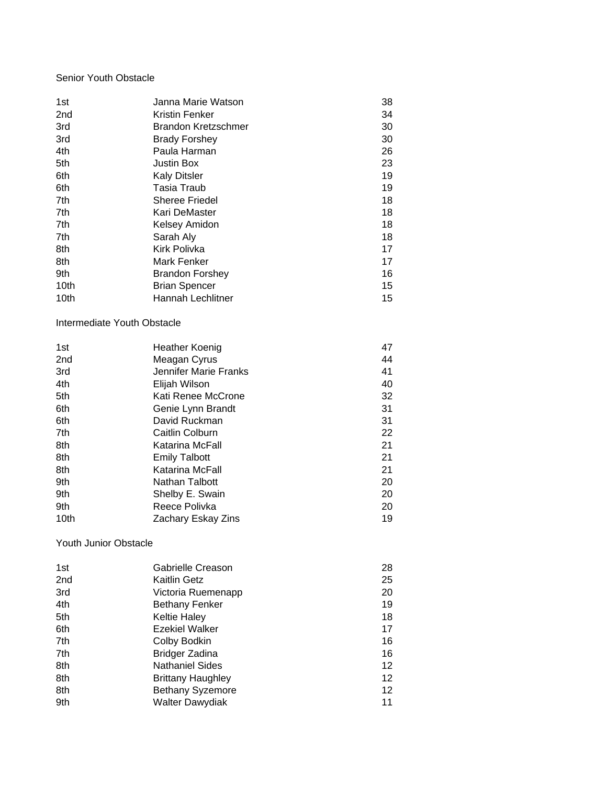## Senior Youth Obstacle

| 1st             | Janna Marie Watson         | 38 |
|-----------------|----------------------------|----|
| 2 <sub>nd</sub> | Kristin Fenker             | 34 |
| 3rd             | <b>Brandon Kretzschmer</b> | 30 |
| 3rd             | <b>Brady Forshey</b>       | 30 |
| 4th             | Paula Harman               | 26 |
| 5th             | Justin Box                 | 23 |
| 6th             | <b>Kaly Ditsler</b>        | 19 |
| 6th             | Tasia Traub                | 19 |
| 7th             | <b>Sheree Friedel</b>      | 18 |
| 7th             | Kari DeMaster              | 18 |
| 7th             | Kelsey Amidon              | 18 |
| 7th             | Sarah Aly                  | 18 |
| 8th             | Kirk Polivka               | 17 |
| 8th             | Mark Fenker                | 17 |
| 9th             | <b>Brandon Forshey</b>     | 16 |
| 10th            | <b>Brian Spencer</b>       | 15 |
| 10th            | Hannah Lechlitner          | 15 |

Intermediate Youth Obstacle

| Heather Koenig        | 47 |
|-----------------------|----|
| Meagan Cyrus          | 44 |
| Jennifer Marie Franks | 41 |
| Elijah Wilson         | 40 |
| Kati Renee McCrone    | 32 |
| Genie Lynn Brandt     | 31 |
| David Ruckman         | 31 |
| Caitlin Colburn       | 22 |
| Katarina McFall       | 21 |
| <b>Emily Talbott</b>  | 21 |
| Katarina McFall       | 21 |
| Nathan Talbott        | 20 |
| Shelby E. Swain       | 20 |
| Reece Polivka         | 20 |
| Zachary Eskay Zins    | 19 |
|                       |    |

Youth Junior Obstacle

| 1st             | Gabrielle Creason       | 28 |
|-----------------|-------------------------|----|
| 2 <sub>nd</sub> | Kaitlin Getz            | 25 |
| 3rd             | Victoria Ruemenapp      | 20 |
| 4th             | <b>Bethany Fenker</b>   | 19 |
| 5th             | <b>Keltie Haley</b>     | 18 |
| 6th             | <b>Ezekiel Walker</b>   | 17 |
| 7th             | Colby Bodkin            | 16 |
| 7th             | Bridger Zadina          | 16 |
| 8th             | <b>Nathaniel Sides</b>  | 12 |
| 8th             | Brittany Haughley       | 12 |
| 8th             | <b>Bethany Syzemore</b> | 12 |
| 9th             | <b>Walter Dawydiak</b>  | 11 |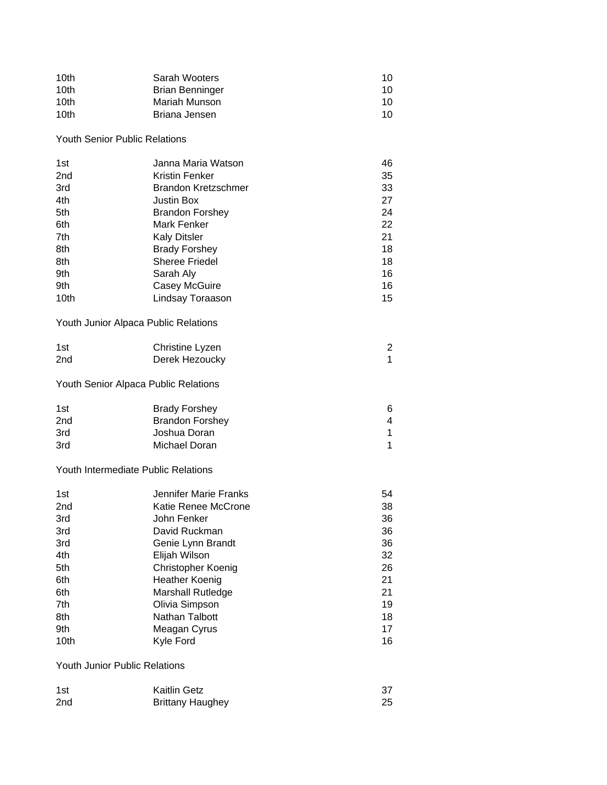| 10th<br>10th<br>10th<br>10th                                                             | Sarah Wooters<br><b>Brian Benninger</b><br>Mariah Munson<br>Briana Jensen                                                                                                                                                                                             | 10<br>10<br>10<br>10                                                       |
|------------------------------------------------------------------------------------------|-----------------------------------------------------------------------------------------------------------------------------------------------------------------------------------------------------------------------------------------------------------------------|----------------------------------------------------------------------------|
| <b>Youth Senior Public Relations</b>                                                     |                                                                                                                                                                                                                                                                       |                                                                            |
| 1st<br>2 <sub>nd</sub><br>3rd<br>4th<br>5th<br>6th<br>7th<br>8th<br>8th<br>9th<br>9th    | Janna Maria Watson<br><b>Kristin Fenker</b><br><b>Brandon Kretzschmer</b><br><b>Justin Box</b><br><b>Brandon Forshey</b><br>Mark Fenker<br><b>Kaly Ditsler</b><br><b>Brady Forshey</b><br><b>Sheree Friedel</b><br>Sarah Aly<br>Casey McGuire                         | 46<br>35<br>33<br>27<br>24<br>22<br>21<br>18<br>18<br>16<br>16             |
| 10th                                                                                     | Lindsay Toraason                                                                                                                                                                                                                                                      | 15                                                                         |
| Youth Junior Alpaca Public Relations                                                     |                                                                                                                                                                                                                                                                       |                                                                            |
| 1st<br>2nd                                                                               | Christine Lyzen<br>Derek Hezoucky                                                                                                                                                                                                                                     | $\overline{\mathbf{c}}$<br>$\mathbf{1}$                                    |
| Youth Senior Alpaca Public Relations                                                     |                                                                                                                                                                                                                                                                       |                                                                            |
| 1st<br>2nd<br>3rd<br>3rd                                                                 | <b>Brady Forshey</b><br><b>Brandon Forshey</b><br>Joshua Doran<br>Michael Doran                                                                                                                                                                                       | 6<br>4<br>1<br>1                                                           |
| Youth Intermediate Public Relations                                                      |                                                                                                                                                                                                                                                                       |                                                                            |
| 1st<br>2nd<br>3rd<br>3rd<br>3rd<br>4th<br>5th<br>6th<br>6th<br>7th<br>8th<br>9th<br>10th | <b>Jennifer Marie Franks</b><br>Katie Renee McCrone<br>John Fenker<br>David Ruckman<br>Genie Lynn Brandt<br>Elijah Wilson<br>Christopher Koenig<br><b>Heather Koenig</b><br><b>Marshall Rutledge</b><br>Olivia Simpson<br>Nathan Talbott<br>Meagan Cyrus<br>Kyle Ford | 54<br>38<br>36<br>36<br>36<br>32<br>26<br>21<br>21<br>19<br>18<br>17<br>16 |
| Youth Junior Public Relations                                                            |                                                                                                                                                                                                                                                                       |                                                                            |
|                                                                                          | レヘシロー                                                                                                                                                                                                                                                                 | າ                                                                          |

| 1st             | <b>Kaitlin Getz</b>     |    |
|-----------------|-------------------------|----|
| 2 <sub>nd</sub> | <b>Brittany Haughey</b> | 25 |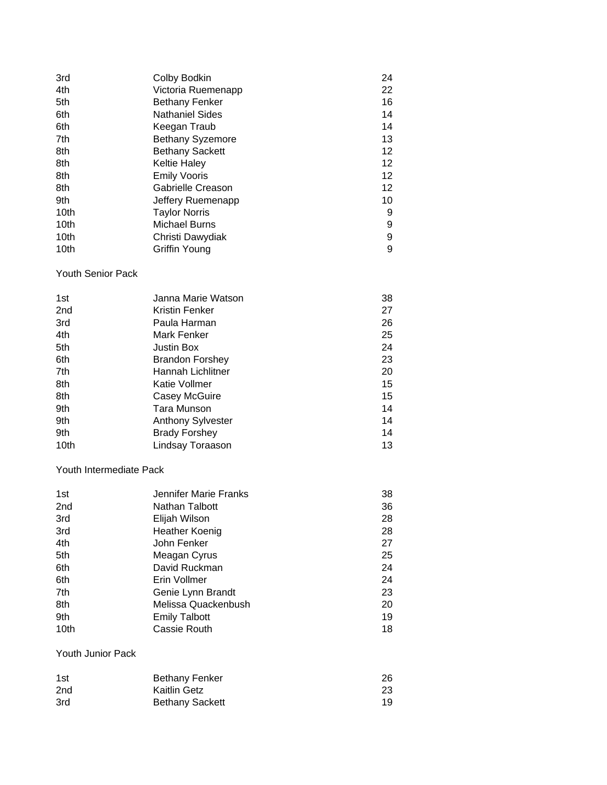| 3rd  | Colby Bodkin            | 24              |
|------|-------------------------|-----------------|
| 4th  | Victoria Ruemenapp      | 22              |
| 5th  | <b>Bethany Fenker</b>   | 16              |
| 6th  | <b>Nathaniel Sides</b>  | 14              |
| 6th  | Keegan Traub            | 14              |
| 7th  | <b>Bethany Syzemore</b> | 13              |
| 8th  | <b>Bethany Sackett</b>  | 12 <sup>°</sup> |
| 8th  | <b>Keltie Haley</b>     | 12              |
| 8th  | <b>Emily Vooris</b>     | 12 <sub>2</sub> |
| 8th  | Gabrielle Creason       | 12 <sup>°</sup> |
| 9th  | Jeffery Ruemenapp       | 10              |
| 10th | <b>Taylor Norris</b>    | 9               |
| 10th | <b>Michael Burns</b>    | 9               |
| 10th | Christi Dawydiak        | 9               |
| 10th | Griffin Young           | 9               |

#### Youth Senior Pack

| 1st             | Janna Marie Watson       | 38 |
|-----------------|--------------------------|----|
| 2 <sub>nd</sub> | Kristin Fenker           | 27 |
| 3rd             | Paula Harman             | 26 |
| 4th             | Mark Fenker              | 25 |
| 5th             | <b>Justin Box</b>        | 24 |
| 6th             | <b>Brandon Forshey</b>   | 23 |
| 7th             | Hannah Lichlitner        | 20 |
| 8th             | Katie Vollmer            | 15 |
| 8th             | <b>Casey McGuire</b>     | 15 |
| 9th             | Tara Munson              | 14 |
| 9th             | <b>Anthony Sylvester</b> | 14 |
| 9th             | <b>Brady Forshey</b>     | 14 |
| 10th            | Lindsay Toraason         | 13 |

### Youth Intermediate Pack

| 1st  | Jennifer Marie Franks | 38 |
|------|-----------------------|----|
| 2nd  | Nathan Talbott        | 36 |
| 3rd  | Elijah Wilson         | 28 |
| 3rd  | <b>Heather Koenig</b> | 28 |
| 4th  | John Fenker           | 27 |
| 5th  | Meagan Cyrus          | 25 |
| 6th  | David Ruckman         | 24 |
| 6th  | Erin Vollmer          | 24 |
| 7th  | Genie Lynn Brandt     | 23 |
| 8th  | Melissa Quackenbush   | 20 |
| 9th  | <b>Emily Talbott</b>  | 19 |
| 10th | Cassie Routh          | 18 |

### Youth Junior Pack

| 1st             | <b>Bethany Fenker</b>  | 26 |
|-----------------|------------------------|----|
| 2 <sub>nd</sub> | Kaitlin Getz           | 23 |
| 3rd             | <b>Bethany Sackett</b> | 19 |